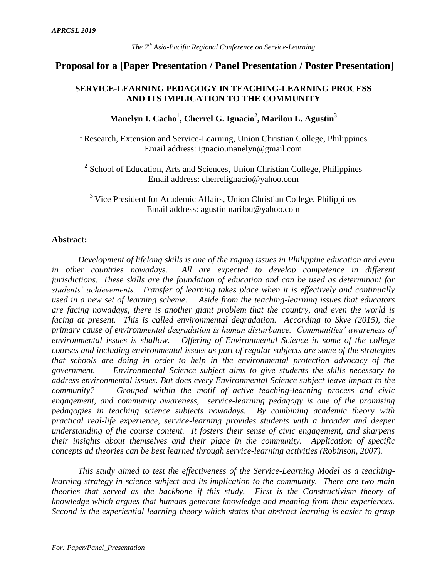# **Proposal for a [Paper Presentation / Panel Presentation / Poster Presentation]**

## **SERVICE-LEARNING PEDAGOGY IN TEACHING-LEARNING PROCESS AND ITS IMPLICATION TO THE COMMUNITY**

# Manelyn I. Cacho<sup>1</sup>, Cherrel G. Ignacio<sup>2</sup>, Marilou L. Agustin<sup>3</sup>

<sup>1</sup> Research, Extension and Service-Learning, Union Christian College, Philippines Email address: ignacio.manelyn@gmail.com

<sup>2</sup> School of Education, Arts and Sciences, Union Christian College, Philippines Email address: cherrelignacio@yahoo.com

<sup>3</sup> Vice President for Academic Affairs, Union Christian College, Philippines Email address: agustinmarilou@yahoo.com

### **Abstract:**

*Development of lifelong skills is one of the raging issues in Philippine education and even in other countries nowadays. All are expected to develop competence in different jurisdictions. These skills are the foundation of education and can be used as determinant for students' achievements. Transfer of learning takes place when it is effectively and continually used in a new set of learning scheme. Aside from the teaching-learning issues that educators are facing nowadays, there is another giant problem that the country, and even the world is facing at present. This is called environmental degradation. According to Skye (2015), the primary cause of environmental degradation is human disturbance. Communities' awareness of environmental issues is shallow. Offering of Environmental Science in some of the college courses and including environmental issues as part of regular subjects are some of the strategies that schools are doing in order to help in the environmental protection advocacy of the government. Environmental Science subject aims to give students the skills necessary to address environmental issues. But does every Environmental Science subject leave impact to the community? Grouped within the motif of active teaching-learning process and civic engagement, and community awareness, service-learning pedagogy is one of the promising pedagogies in teaching science subjects nowadays. By combining academic theory with practical real-life experience, service-learning provides students with a broader and deeper understanding of the course content. It fosters their sense of civic engagement, and sharpens their insights about themselves and their place in the community. Application of specific concepts ad theories can be best learned through service-learning activities (Robinson, 2007).*

*This study aimed to test the effectiveness of the Service-Learning Model as a teachinglearning strategy in science subject and its implication to the community. There are two main theories that served as the backbone if this study. First is the Constructivism theory of knowledge which argues that humans generate knowledge and meaning from their experiences. Second is the experiential learning theory which states that abstract learning is easier to grasp*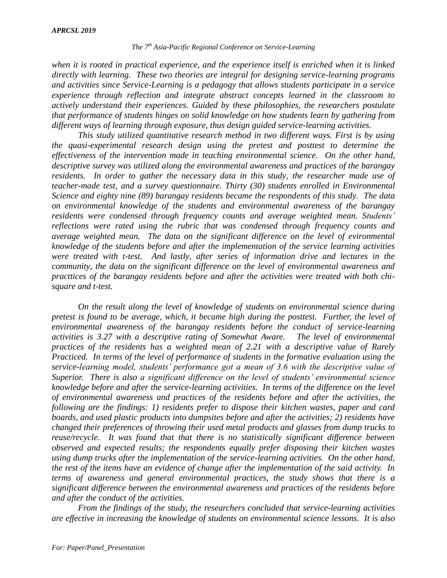#### *The 7th Asia-Pacific Regional Conference on Service-Learning*

*when it is rooted in practical experience, and the experience itself is enriched when it is linked directly with learning. These two theories are integral for designing service-learning programs and activities since Service-Learning is a pedagogy that allows students participate in a service experience through reflection and integrate abstract concepts learned in the classroom to actively understand their experiences. Guided by these philosophies, the researchers postulate that performance of students hinges on solid knowledge on how students learn by gathering from different ways of learning through exposure, thus design guided service-learning activities.*

*This study utilized quantitative research method in two different ways. First is by using the quasi-experimental research design using the pretest and posttest to determine the effectiveness of the intervention made in teaching environmental science. On the other hand, descriptive survey was utilized along the environmental awareness and practices of the barangay residents. In order to gather the necessary data in this study, the researcher made use of teacher-made test, and a survey questionnaire. Thirty (30) students enrolled in Environmental Science and eighty nine (89) barangay residents became the respondents of this study. The data on environmental knowledge of the students and environmental awareness of the barangay residents were condensed through frequency counts and average weighted mean. Students' reflections were rated using the rubric that was condensed through frequency counts and average weighted mean. The data on the significant difference on the level of evironmental knowledge of the students before and after the implementation of the service learning activities were treated with t-test. And lastly, after series of information drive and lectures in the community, the data on the significant difference on the level of environmental awareness and practtices of the barangay residents before and after the activities were treated with both chisquare and t-test.* 

*On the result along the level of knowledge of students on environmental science during pretest is found to be average, which, it became high during the posttest. Further, the level of environmental awareness of the barangay residents before the conduct of service-learning activities is 3.27 with a descriptive rating of Somewhat Aware. The level of environmental practices of the residents has a weighted mean of 2.21 with a descriptive value of Rarely Practiced. In terms of the level of performance of students in the formative evaluation using the service-learning model, students' performance got a mean of 3.6 with the descriptive value of Superior. There is also a significant difference on the level of students' environmental science knowledge before and after the service-learning activities. In terms of the difference on the level of environmental awareness and practices of the residents before and after the activities, the following are the findings: 1) residents prefer to dispose their kitchen wastes, paper and card boards, and used plastic products into dumpsites before and after the activities; 2) residents have changed their preferences of throwing their used metal products and glasses from dump trucks to reuse/recycle. It was found that that there is no statistically significant difference between observed and expected results; the respondents equally prefer disposing their kitchen wastes using dump trucks after the implementation of the service-learning activities. On the other hand, the rest of the items have an evidence of change after the implementation of the said activity. In terms of awareness and general environmental practices, the study shows that there is a significant difference between the environmental awareness and practices of the residents before and after the conduct of the activities.*

*From the findings of the study, the researchers concluded that service-learning activities are effective in increasing the knowledge of students on environmental science lessons. It is also*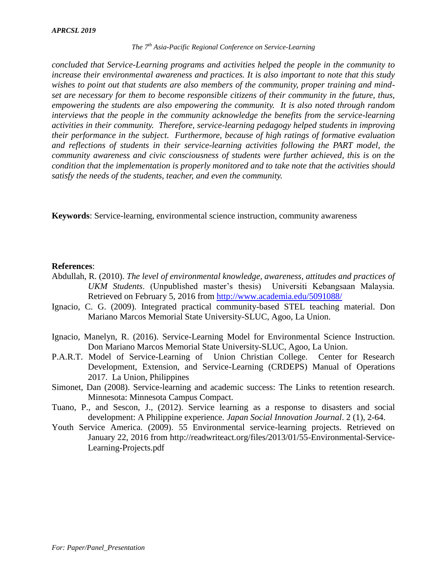#### *The 7th Asia-Pacific Regional Conference on Service-Learning*

*concluded that Service-Learning programs and activities helped the people in the community to increase their environmental awareness and practices. It is also important to note that this study wishes to point out that students are also members of the community, proper training and mindset are necessary for them to become responsible citizens of their community in the future, thus, empowering the students are also empowering the community. It is also noted through random interviews that the people in the community acknowledge the benefits from the service-learning activities in their community. Therefore, service-learning pedagogy helped students in improving their performance in the subject. Furthermore, because of high ratings of formative evaluation and reflections of students in their service-learning activities following the PART model, the community awareness and civic consciousness of students were further achieved, this is on the condition that the implementation is properly monitored and to take note that the activities should satisfy the needs of the students, teacher, and even the community.*

**Keywords**: Service-learning, environmental science instruction, community awareness

### **References**:

- Abdullah, R. (2010). *The level of environmental knowledge, awareness, attitudes and practices of UKM Students*. (Unpublished master's thesis) Universiti Kebangsaan Malaysia. Retrieved on February 5, 2016 from<http://www.academia.edu/5091088/>
- Ignacio, C. G. (2009). Integrated practical community-based STEL teaching material. Don Mariano Marcos Memorial State University-SLUC, Agoo, La Union.
- Ignacio, Manelyn, R. (2016). Service-Learning Model for Environmental Science Instruction. Don Mariano Marcos Memorial State University-SLUC, Agoo, La Union.
- P.A.R.T. Model of Service-Learning of Union Christian College. Center for Research Development, Extension, and Service-Learning (CRDEPS) Manual of Operations 2017. La Union, Philippines
- Simonet, Dan (2008). Service-learning and academic success: The Links to retention research. Minnesota: Minnesota Campus Compact.
- Tuano, P., and Sescon, J., (2012). Service learning as a response to disasters and social development: A Philippine experience. *Japan Social Innovation Journal*. 2 (1), 2-64.
- Youth Service America. (2009). 55 Environmental service-learning projects. Retrieved on January 22, 2016 from http://readwriteact.org/files/2013/01/55-Environmental-Service-Learning-Projects.pdf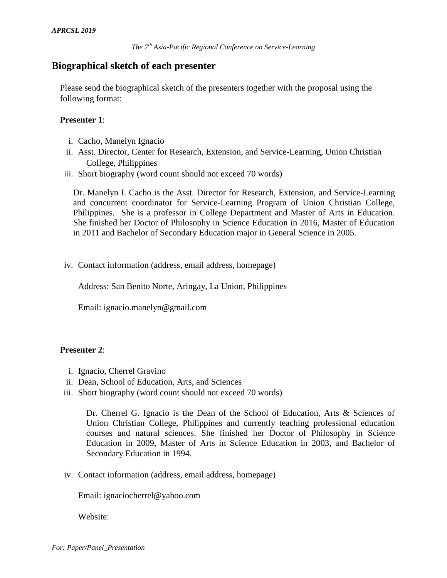## **Biographical sketch of each presenter**

Please send the biographical sketch of the presenters together with the proposal using the following format:

### **Presenter 1**:

- i. Cacho, Manelyn Ignacio
- ii. Asst. Director, Center for Research, Extension, and Service-Learning, Union Christian College, Philippines
- iii. Short biography (word count should not exceed 70 words)

Dr. Manelyn I. Cacho is the Asst. Director for Research, Extension, and Service-Learning and concurrent coordinator for Service-Learning Program of Union Christian College, Philippines. She is a professor in College Department and Master of Arts in Education. She finished her Doctor of Philosophy in Science Education in 2016, Master of Education in 2011 and Bachelor of Secondary Education major in General Science in 2005.

iv. Contact information (address, email address, homepage)

Address: San Benito Norte, Aringay, La Union, Philippines

Email: ignacio.manelyn@gmail.com

### **Presenter 2**:

- i. Ignacio, Cherrel Gravino
- ii. Dean, School of Education, Arts, and Sciences
- iii. Short biography (word count should not exceed 70 words)

Dr. Cherrel G. Ignacio is the Dean of the School of Education, Arts & Sciences of Union Christian College, Philippines and currently teaching professional education courses and natural sciences. She finished her Doctor of Philosophy in Science Education in 2009, Master of Arts in Science Education in 2003, and Bachelor of Secondary Education in 1994.

iv. Contact information (address, email address, homepage)

Email: ignaciocherrel@yahoo.com

Website: